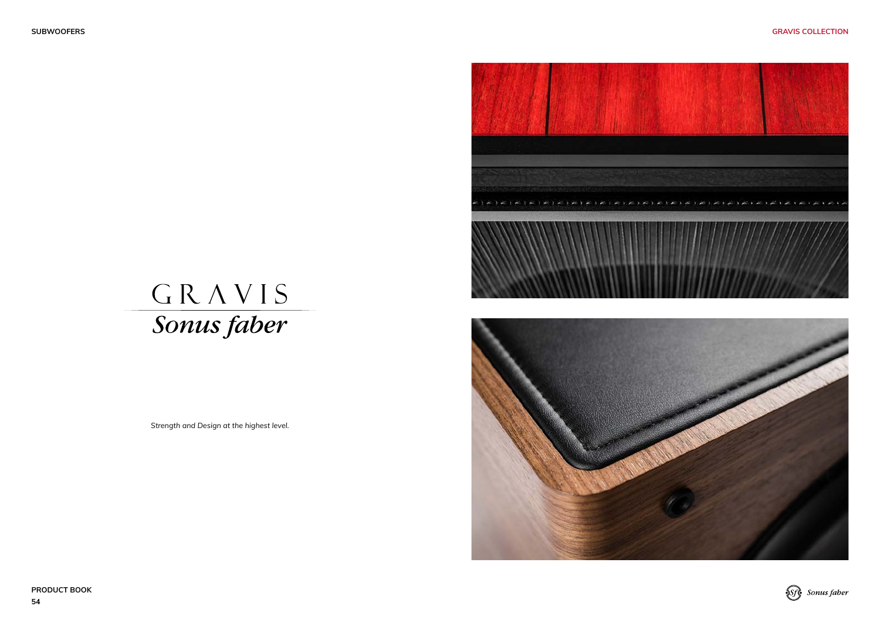**PRODUCT BOOK 54**



*Strength and Design at the highest level.*







Sfg Sonus faber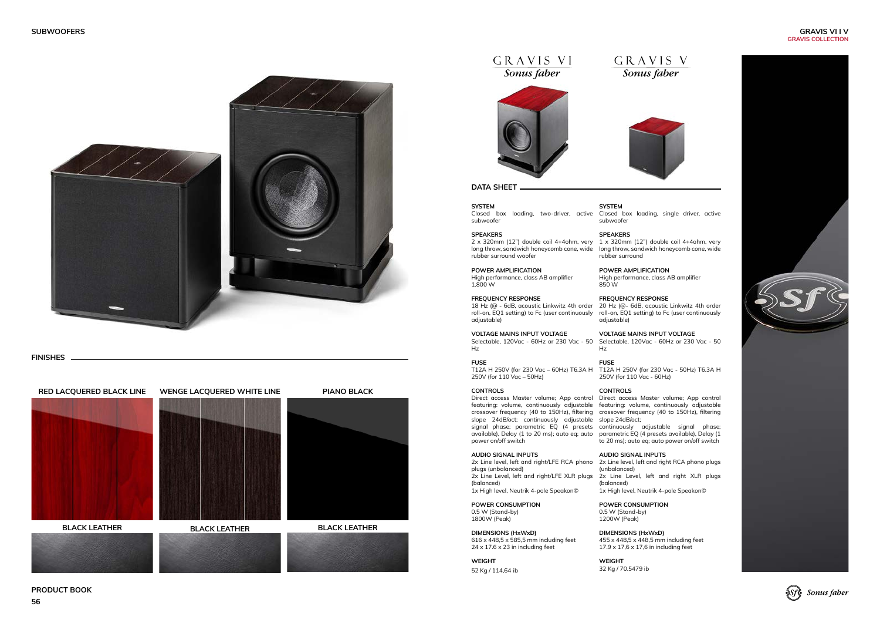### **PRODUCT BOOK**



GRAVIS VI

Sonus faber

# GRAVIS V Sonus faber





**FINISHES**



**SYSTEM** Closed box loading, two-driver, active Closed box loading, single driver, active subwoofer

**SPEAKERS**

long throw, sandwich honeycomb cone, wide

rubber surround **POWER AMPLIFICATION** High performance, class AB amplifier 850 W

**FREQUENCY RESPONSE** 20 Hz (@- 6dB, acoustic Linkwitz 4th order roll-on, EQ1 setting) to Fc (user continuously roll-on, EQ1 setting) to Fc (user continuously adjustable)

> **VOLTAGE MAINS INPUT VOLTAGE** Selectable, 120Vac - 60Hz or 230 Vac - 50 Hz

## **FUSE**

250V (for 110 Vac - 60Hz)

#### **CONTROLS**

Direct access Master volume; App control featuring: volume, continuously adjustable crossover frequency (40 to 150Hz), filtering

1 x 320mm (12") double coil 4+4ohm, very 2 x 320mm (12") double coil 4+4ohm, very long throw, sandwich honeycomb cone, wide rubber surround woofer

to 20 ms); auto eq; auto power on/off switch





# **AUDIO SIGNAL INPUTS**

(unbalanced) 2x Line Level, left and right XLR plugs (balanced) 1x High level, Neutrik 4-pole Speakon©

2x Line level, left and right/LFE RCA phono 2x Line level, left and right RCA phono plugs plugs (unbalanced) 2x Line Level, left and right/LFE XLR plugs (balanced) 1x High level, Neutrik 4-pole Speakon©

> **POWER CONSUMPTION** 0.5 W (Stand-by) 1200W (Peak)

T12A H 250V (for 230 Vac - 50Hz) T6.3A H T12A H 250V (for 230 Vac – 60Hz) T6.3A H 250V (for 110 Vac – 50Hz)

> **DIMENSIONS (HxWxD)** 455 x 448,5 x 448,5 mm including feet 17.9 x 17,6 x 17,6 in including feet

**WEIGHT** 32 Kg / 70.5479 ib

**SYSTEM** subwoofer

#### **SPEAKERS**

slope 24dB/oct; slope 24dB/oct; continuously adjustable signal phase; parametric EQ (4 presets continuously adjustable signal phase; available), Delay (1 to 20 ms); auto eq; auto parametric EQ (4 presets available), Delay (1 Direct access Master volume; App control featuring: volume, continuously adjustable crossover frequency (40 to 150Hz), filtering power on/off switch

#### **POWER AMPLIFICATION**

High performance, class AB amplifier 1.800 W

#### **FREQUENCY RESPONSE**

18 Hz (@ - 6dB, acoustic Linkwitz 4th order adjustable)

**VOLTAGE MAINS INPUT VOLTAGE** Selectable, 120Vac - 60Hz or 230 Vac - 50 Hz

#### **FUSE**

#### **CONTROLS**

#### **AUDIO SIGNAL INPUTS**

**POWER CONSUMPTION** 0.5 W (Stand-by) 1800W (Peak)

**DIMENSIONS (HxWxD)** 616 x 448,5 x 585,5 mm including feet 24 x 17.6 x 23 in including feet

**WEIGHT** 52 Kg / 114,64 ib

#### **DATA SHEET**

#### **GRAVIS VI I V GRAVIS COLLECTION**